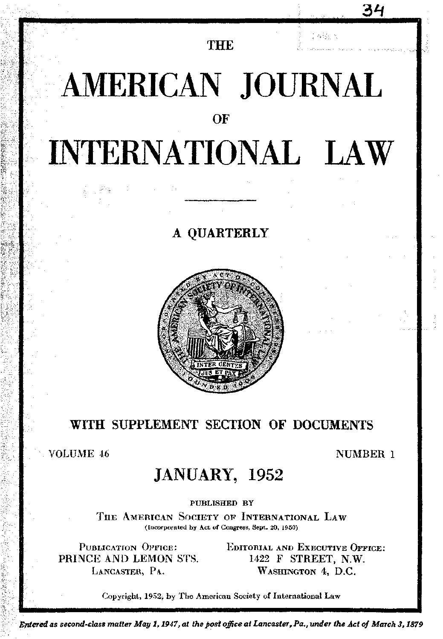**THE** 

たなるい人

34

# AMERICAN JOURNAL OF **INTERNATIONAL LAW**

# A OUARTERLY



# WITH SUPPLEMENT SECTION OF DOCUMENTS

**VOLUME 46** 

### NUMBER 1

# **JANUARY, 1952**

PUBLISHED BY

THE AMERICAN SOCIETY OF INTERNATIONAL LAW (Incorporated by Act of Congress, Sept. 20, 1950)

**PUBLICATION OFFICE:** PRINCE AND LEMON STS. LANCASTER, PA.

EDITORIAL AND EXECUTIVE OFFICE: 1422 F STREET, N.W. WASHINGTON 4, D.C.

Copyright, 1952, by The American Society of International Law

Entered as second-class matter May 1, 1947, at the post office at Lancaster, Pa., under the Act of March 3, 1879